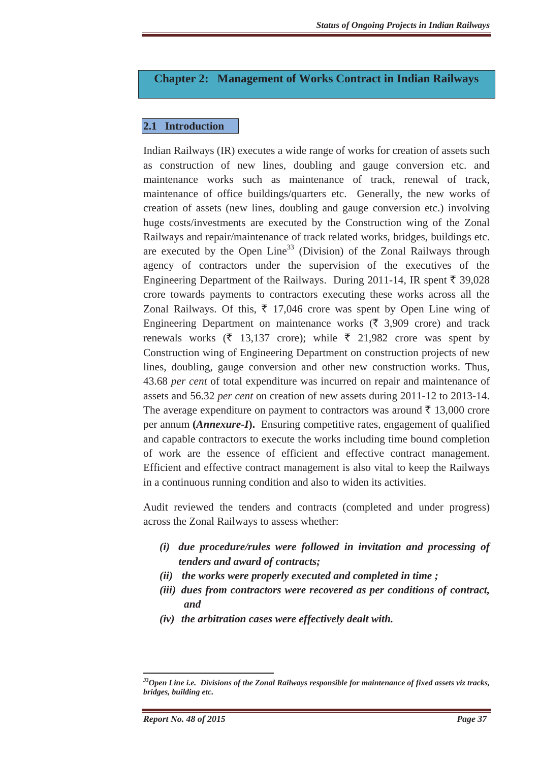# **Chapter 2: Management of Works Contract in Indian Railways**

# **2.1 Introduction**

Indian Railways (IR) executes a wide range of works for creation of assets such as construction of new lines, doubling and gauge conversion etc. and maintenance works such as maintenance of track, renewal of track, maintenance of office buildings/quarters etc. Generally, the new works of creation of assets (new lines, doubling and gauge conversion etc.) involving huge costs/investments are executed by the Construction wing of the Zonal Railways and repair/maintenance of track related works, bridges, buildings etc. are executed by the Open Line<sup>33</sup> (Division) of the Zonal Railways through agency of contractors under the supervision of the executives of the Engineering Department of the Railways. During 2011-14, IR spent  $\bar{\tau}$  39,028 crore towards payments to contractors executing these works across all the Zonal Railways. Of this,  $\bar{\tau}$  17,046 crore was spent by Open Line wing of Engineering Department on maintenance works ( $\bar{\xi}$  3,909 crore) and track renewals works ( $\bar{\tau}$  13,137 crore); while  $\bar{\tau}$  21,982 crore was spent by Construction wing of Engineering Department on construction projects of new lines, doubling, gauge conversion and other new construction works. Thus, 43.68 *per cent* of total expenditure was incurred on repair and maintenance of assets and 56.32 *per cent* on creation of new assets during 2011-12 to 2013-14. The average expenditure on payment to contractors was around  $\bar{\tau}$  13,000 crore per annum **(***Annexure-I***).** Ensuring competitive rates, engagement of qualified and capable contractors to execute the works including time bound completion of work are the essence of efficient and effective contract management. Efficient and effective contract management is also vital to keep the Railways in a continuous running condition and also to widen its activities.

Audit reviewed the tenders and contracts (completed and under progress) across the Zonal Railways to assess whether:

- *(i) due procedure/rules were followed in invitation and processing of tenders and award of contracts;*
- *(ii) the works were properly executed and completed in time ;*
- *(iii) dues from contractors were recovered as per conditions of contract, and*
- *(iv) the arbitration cases were effectively dealt with.*

*<sup>33</sup>Open Line i.e. Divisions of the Zonal Railways responsible for maintenance of fixed assets viz tracks, bridges, building etc.*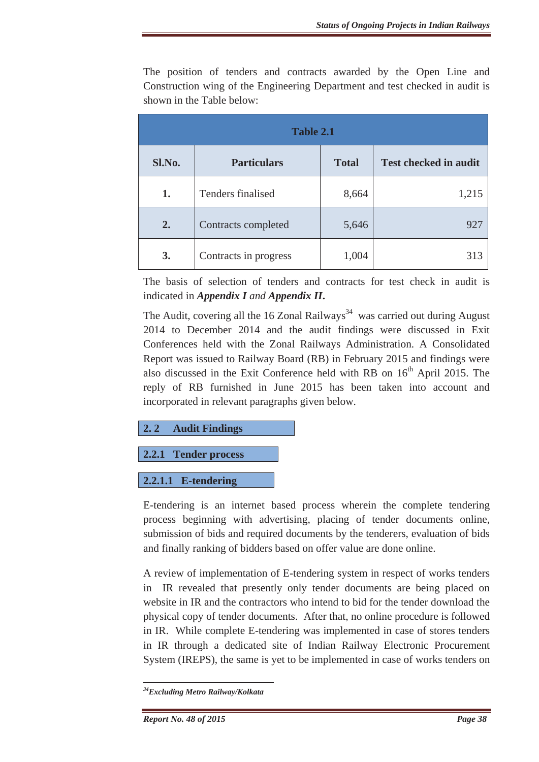The position of tenders and contracts awarded by the Open Line and Construction wing of the Engineering Department and test checked in audit is shown in the Table below:

| Table 2.1 |                       |              |                              |
|-----------|-----------------------|--------------|------------------------------|
| Sl.No.    | <b>Particulars</b>    | <b>Total</b> | <b>Test checked in audit</b> |
| 1.        | Tenders finalised     | 8,664        | 1,215                        |
| 2.        | Contracts completed   | 5,646        | 927                          |
| 3.        | Contracts in progress | 1,004        | 313                          |

The basis of selection of tenders and contracts for test check in audit is indicated in *Appendix I and Appendix II***.**

The Audit, covering all the 16 Zonal Railways<sup>34</sup> was carried out during August 2014 to December 2014 and the audit findings were discussed in Exit Conferences held with the Zonal Railways Administration. A Consolidated Report was issued to Railway Board (RB) in February 2015 and findings were also discussed in the Exit Conference held with RB on  $16<sup>th</sup>$  April 2015. The reply of RB furnished in June 2015 has been taken into account and incorporated in relevant paragraphs given below.

**2. 2 Audit Findings** 

**2.2.1 Tender process** 

**2.2.1.1 E-tendering** 

E-tendering is an internet based process wherein the complete tendering process beginning with advertising, placing of tender documents online, submission of bids and required documents by the tenderers, evaluation of bids and finally ranking of bidders based on offer value are done online.

A review of implementation of E-tendering system in respect of works tenders in IR revealed that presently only tender documents are being placed on website in IR and the contractors who intend to bid for the tender download the physical copy of tender documents. After that, no online procedure is followed in IR. While complete E-tendering was implemented in case of stores tenders in IR through a dedicated site of Indian Railway Electronic Procurement System (IREPS), the same is yet to be implemented in case of works tenders on

<sup>&</sup>lt;u> Alexandria de la contexta de la contexta de la contexta de la contexta de la contexta de la contexta de la c</u> *34Excluding Metro Railway/Kolkata*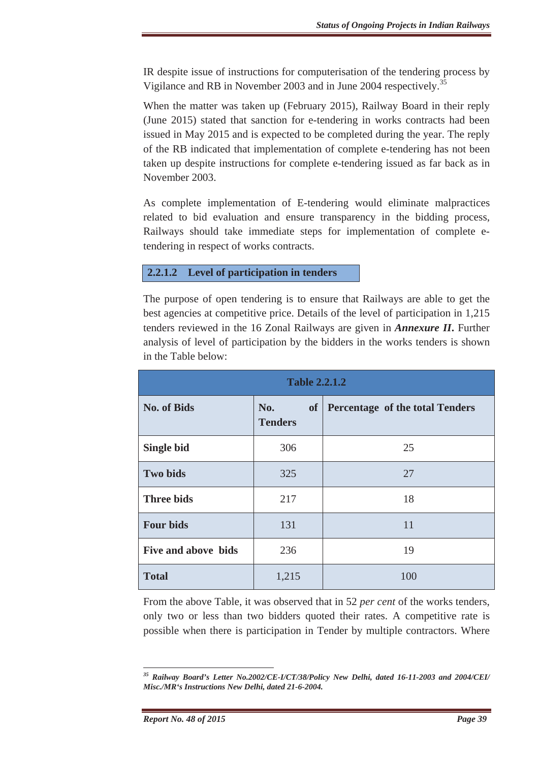IR despite issue of instructions for computerisation of the tendering process by Vigilance and RB in November 2003 and in June 2004 respectively.<sup>35</sup>

When the matter was taken up (February 2015), Railway Board in their reply (June 2015) stated that sanction for e-tendering in works contracts had been issued in May 2015 and is expected to be completed during the year. The reply of the RB indicated that implementation of complete e-tendering has not been taken up despite instructions for complete e-tendering issued as far back as in November 2003.

As complete implementation of E-tendering would eliminate malpractices related to bid evaluation and ensure transparency in the bidding process, Railways should take immediate steps for implementation of complete etendering in respect of works contracts.

### **2.2.1.2 Level of participation in tenders**

The purpose of open tendering is to ensure that Railways are able to get the best agencies at competitive price. Details of the level of participation in 1,215 tenders reviewed in the 16 Zonal Railways are given in *Annexure II***.** Further analysis of level of participation by the bidders in the works tenders is shown in the Table below:

| <b>Table 2.2.1.2</b> |                       |                                    |  |
|----------------------|-----------------------|------------------------------------|--|
| <b>No. of Bids</b>   | No.<br><b>Tenders</b> | of Percentage of the total Tenders |  |
| <b>Single bid</b>    | 306                   | 25                                 |  |
| <b>Two bids</b>      | 325                   | 27                                 |  |
| <b>Three bids</b>    | 217                   | 18                                 |  |
| <b>Four bids</b>     | 131                   | 11                                 |  |
| Five and above bids  | 236                   | 19                                 |  |
| <b>Total</b>         | 1,215                 | 100                                |  |

From the above Table, it was observed that in 52 *per cent* of the works tenders, only two or less than two bidders quoted their rates. A competitive rate is possible when there is participation in Tender by multiple contractors. Where

*<sup>35</sup> Railway Board's Letter No.2002/CE-I/CT/38/Policy New Delhi, dated 16-11-2003 and 2004/CEI/ Misc./MR's Instructions New Delhi, dated 21-6-2004.*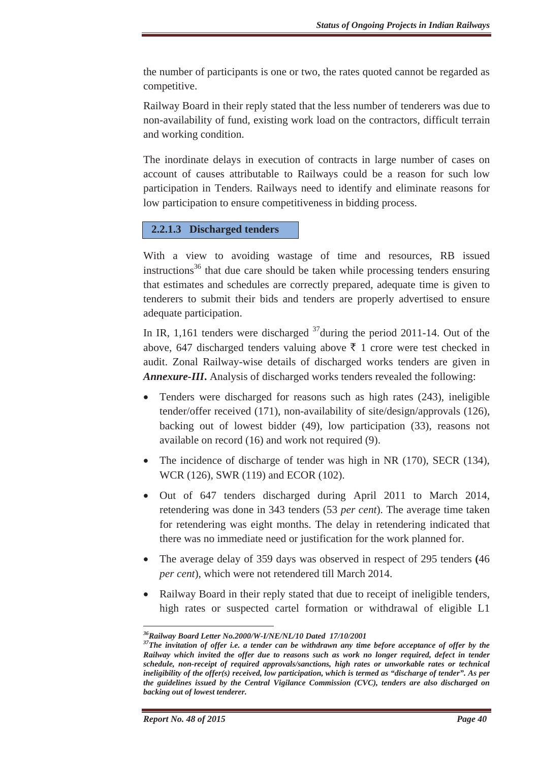the number of participants is one or two, the rates quoted cannot be regarded as competitive.

Railway Board in their reply stated that the less number of tenderers was due to non-availability of fund, existing work load on the contractors, difficult terrain and working condition.

The inordinate delays in execution of contracts in large number of cases on account of causes attributable to Railways could be a reason for such low participation in Tenders. Railways need to identify and eliminate reasons for low participation to ensure competitiveness in bidding process.

#### **2.2.1.3 Discharged tenders**

With a view to avoiding wastage of time and resources, RB issued instructions<sup>36</sup> that due care should be taken while processing tenders ensuring that estimates and schedules are correctly prepared, adequate time is given to tenderers to submit their bids and tenders are properly advertised to ensure adequate participation.

In IR, 1,161 tenders were discharged  $37$  during the period 2011-14. Out of the above, 647 discharged tenders valuing above  $\bar{\tau}$  1 crore were test checked in audit. Zonal Railway-wise details of discharged works tenders are given in *Annexure-III***.** Analysis of discharged works tenders revealed the following:

- Tenders were discharged for reasons such as high rates (243), ineligible tender/offer received (171), non-availability of site/design/approvals (126), backing out of lowest bidder (49), low participation (33), reasons not available on record (16) and work not required (9).
- The incidence of discharge of tender was high in NR (170), SECR (134), WCR (126), SWR (119) and ECOR (102).
- Out of 647 tenders discharged during April 2011 to March 2014, retendering was done in 343 tenders (53 *per cent*). The average time taken for retendering was eight months. The delay in retendering indicated that there was no immediate need or justification for the work planned for.
- x The average delay of 359 days was observed in respect of 295 tenders **(**46 *per cent*), which were not retendered till March 2014.
- Railway Board in their reply stated that due to receipt of ineligible tenders, high rates or suspected cartel formation or withdrawal of eligible L1

*<sup>36</sup>Railway Board Letter No.2000/W-I/NE/NL/10 Dated 17/10/2001* 

*<sup>37</sup>The invitation of offer i.e. a tender can be withdrawn any time before acceptance of offer by the Railway which invited the offer due to reasons such as work no longer required, defect in tender schedule, non-receipt of required approvals/sanctions, high rates or unworkable rates or technical ineligibility of the offer(s) received, low participation, which is termed as "discharge of tender". As per the guidelines issued by the Central Vigilance Commission (CVC), tenders are also discharged on backing out of lowest tenderer.*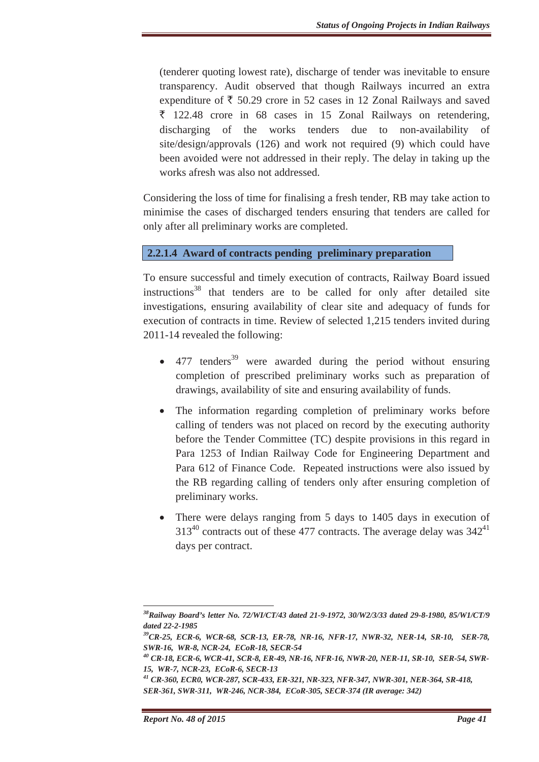(tenderer quoting lowest rate), discharge of tender was inevitable to ensure transparency. Audit observed that though Railways incurred an extra expenditure of  $\bar{\tau}$  50.29 crore in 52 cases in 12 Zonal Railways and saved  $\bar{\xi}$  122.48 crore in 68 cases in 15 Zonal Railways on retendering, discharging of the works tenders due to non-availability of site/design/approvals (126) and work not required (9) which could have been avoided were not addressed in their reply. The delay in taking up the works afresh was also not addressed.

Considering the loss of time for finalising a fresh tender, RB may take action to minimise the cases of discharged tenders ensuring that tenders are called for only after all preliminary works are completed.

# **2.2.1.4 Award of contracts pending preliminary preparation**

To ensure successful and timely execution of contracts, Railway Board issued instructions $38$  that tenders are to be called for only after detailed site investigations, ensuring availability of clear site and adequacy of funds for execution of contracts in time. Review of selected 1,215 tenders invited during 2011-14 revealed the following:

- $\bullet$  477 tenders<sup>39</sup> were awarded during the period without ensuring completion of prescribed preliminary works such as preparation of drawings, availability of site and ensuring availability of funds.
- The information regarding completion of preliminary works before calling of tenders was not placed on record by the executing authority before the Tender Committee (TC) despite provisions in this regard in Para 1253 of Indian Railway Code for Engineering Department and Para 612 of Finance Code. Repeated instructions were also issued by the RB regarding calling of tenders only after ensuring completion of preliminary works.
- There were delays ranging from 5 days to 1405 days in execution of  $313^{40}$  contracts out of these 477 contracts. The average delay was  $342^{41}$ days per contract.

*38Railway Board's letter No. 72/WI/CT/43 dated 21-9-1972, 30/W2/3/33 dated 29-8-1980, 85/W1/CT/9 dated 22-2-1985* 

*<sup>39</sup>CR-25, ECR-6, WCR-68, SCR-13, ER-78, NR-16, NFR-17, NWR-32, NER-14, SR-10, SER-78, SWR-16, WR-8, NCR-24, ECoR-18, SECR-54* 

*<sup>40</sup> CR-18, ECR-6, WCR-41, SCR-8, ER-49, NR-16, NFR-16, NWR-20, NER-11, SR-10, SER-54, SWR-15, WR-7, NCR-23, ECoR-6, SECR-13* 

*<sup>41</sup> CR-360, ECR0, WCR-287, SCR-433, ER-321, NR-323, NFR-347, NWR-301, NER-364, SR-418, SER-361, SWR-311, WR-246, NCR-384, ECoR-305, SECR-374 (IR average: 342)*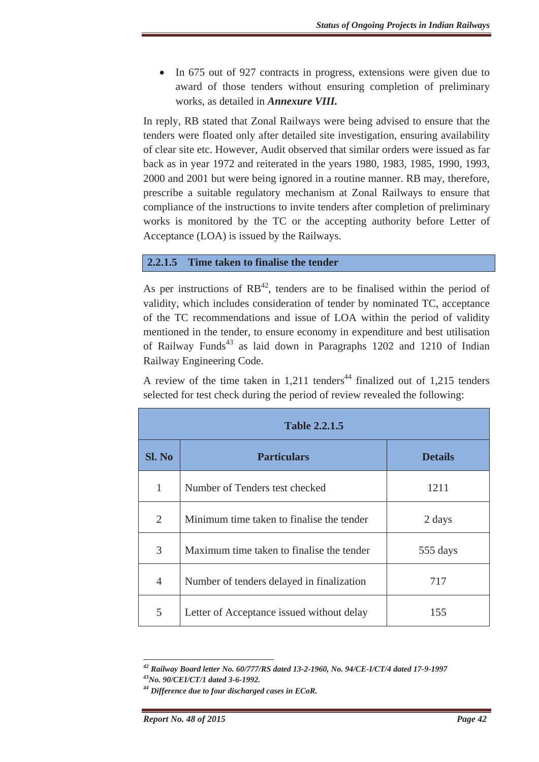• In 675 out of 927 contracts in progress, extensions were given due to award of those tenders without ensuring completion of preliminary works, as detailed in *Annexure VIII.*

In reply, RB stated that Zonal Railways were being advised to ensure that the tenders were floated only after detailed site investigation, ensuring availability of clear site etc. However, Audit observed that similar orders were issued as far back as in year 1972 and reiterated in the years 1980, 1983, 1985, 1990, 1993, 2000 and 2001 but were being ignored in a routine manner. RB may, therefore, prescribe a suitable regulatory mechanism at Zonal Railways to ensure that compliance of the instructions to invite tenders after completion of preliminary works is monitored by the TC or the accepting authority before Letter of Acceptance (LOA) is issued by the Railways.

### **2.2.1.5 Time taken to finalise the tender**

As per instructions of  $RB^{42}$ , tenders are to be finalised within the period of validity, which includes consideration of tender by nominated TC, acceptance of the TC recommendations and issue of LOA within the period of validity mentioned in the tender, to ensure economy in expenditure and best utilisation of Railway Funds<sup>43</sup> as laid down in Paragraphs 1202 and 1210 of Indian Railway Engineering Code.

A review of the time taken in  $1,211$  tenders<sup>44</sup> finalized out of 1,215 tenders selected for test check during the period of review revealed the following:

| <b>Table 2.2.1.5</b> |                                           |                |  |
|----------------------|-------------------------------------------|----------------|--|
| <b>Sl. No</b>        | <b>Particulars</b>                        | <b>Details</b> |  |
| $\mathbf{1}$         | Number of Tenders test checked            | 1211           |  |
| 2                    | Minimum time taken to finalise the tender | 2 days         |  |
| 3                    | Maximum time taken to finalise the tender | 555 days       |  |
| $\overline{4}$       | Number of tenders delayed in finalization | 717            |  |
| 5                    | Letter of Acceptance issued without delay | 155            |  |

*42 Railway Board letter No. 60/777/RS dated 13-2-1960, No. 94/CE-I/CT/4 dated 17-9-1997* 

*<sup>43</sup>No. 90/CEI/CT/1 dated 3-6-1992.* 

*<sup>44</sup> Difference due to four discharged cases in ECoR.*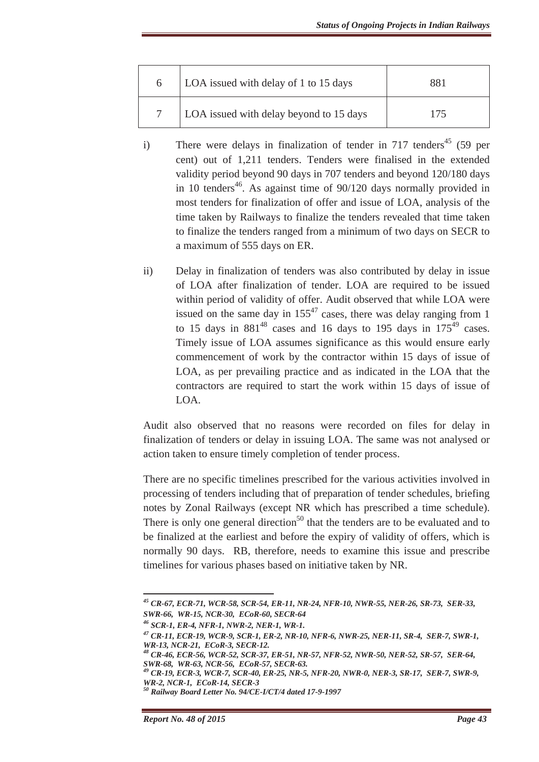| 6 | LOA issued with delay of 1 to 15 days   | 881 |
|---|-----------------------------------------|-----|
|   | LOA issued with delay beyond to 15 days | 175 |

- i) There were delays in finalization of tender in 717 tenders<sup>45</sup> (59 per cent) out of 1,211 tenders. Tenders were finalised in the extended validity period beyond 90 days in 707 tenders and beyond 120/180 days in 10 tenders<sup>46</sup>. As against time of  $90/120$  days normally provided in most tenders for finalization of offer and issue of LOA, analysis of the time taken by Railways to finalize the tenders revealed that time taken to finalize the tenders ranged from a minimum of two days on SECR to a maximum of 555 days on ER.
- ii) Delay in finalization of tenders was also contributed by delay in issue of LOA after finalization of tender. LOA are required to be issued within period of validity of offer. Audit observed that while LOA were issued on the same day in  $155^{47}$  cases, there was delay ranging from 1 to 15 days in  $881^{48}$  cases and 16 days to 195 days in  $175^{49}$  cases. Timely issue of LOA assumes significance as this would ensure early commencement of work by the contractor within 15 days of issue of LOA, as per prevailing practice and as indicated in the LOA that the contractors are required to start the work within 15 days of issue of LOA.

Audit also observed that no reasons were recorded on files for delay in finalization of tenders or delay in issuing LOA. The same was not analysed or action taken to ensure timely completion of tender process.

There are no specific timelines prescribed for the various activities involved in processing of tenders including that of preparation of tender schedules, briefing notes by Zonal Railways (except NR which has prescribed a time schedule). There is only one general direction<sup>50</sup> that the tenders are to be evaluated and to be finalized at the earliest and before the expiry of validity of offers, which is normally 90 days. RB, therefore, needs to examine this issue and prescribe timelines for various phases based on initiative taken by NR.

*45 CR-67, ECR-71, WCR-58, SCR-54, ER-11, NR-24, NFR-10, NWR-55, NER-26, SR-73, SER-33, SWR-66, WR-15, NCR-30, ECoR-60, SECR-64* 

*<sup>46</sup> SCR-1, ER-4, NFR-1, NWR-2, NER-1, WR-1.* 

*<sup>47</sup> CR-11, ECR-19, WCR-9, SCR-1, ER-2, NR-10, NFR-6, NWR-25, NER-11, SR-4, SER-7, SWR-1, WR-13, NCR-21, ECoR-3, SECR-12.* 

*<sup>48</sup> CR-46, ECR-56, WCR-52, SCR-37, ER-51, NR-57, NFR-52, NWR-50, NER-52, SR-57, SER-64, SWR-68, WR-63, NCR-56, ECoR-57, SECR-63.* 

*<sup>49</sup> CR-19, ECR-3, WCR-7, SCR-40, ER-25, NR-5, NFR-20, NWR-0, NER-3, SR-17, SER-7, SWR-9, WR-2, NCR-1, ECoR-14, SECR-3*

*<sup>50</sup> Railway Board Letter No. 94/CE-I/CT/4 dated 17-9-1997*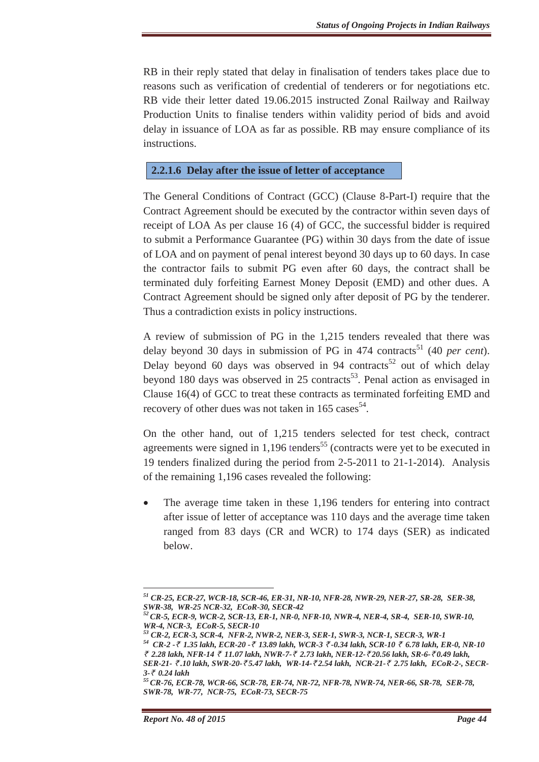RB in their reply stated that delay in finalisation of tenders takes place due to reasons such as verification of credential of tenderers or for negotiations etc. RB vide their letter dated 19.06.2015 instructed Zonal Railway and Railway Production Units to finalise tenders within validity period of bids and avoid delay in issuance of LOA as far as possible. RB may ensure compliance of its instructions.

### **2.2.1.6 Delay after the issue of letter of acceptance**

The General Conditions of Contract (GCC) (Clause 8-Part-I) require that the Contract Agreement should be executed by the contractor within seven days of receipt of LOA As per clause 16 (4) of GCC, the successful bidder is required to submit a Performance Guarantee (PG) within 30 days from the date of issue of LOA and on payment of penal interest beyond 30 days up to 60 days. In case the contractor fails to submit PG even after 60 days, the contract shall be terminated duly forfeiting Earnest Money Deposit (EMD) and other dues. A Contract Agreement should be signed only after deposit of PG by the tenderer. Thus a contradiction exists in policy instructions.

A review of submission of PG in the 1,215 tenders revealed that there was delay beyond 30 days in submission of PG in 474 contracts<sup>51</sup> (40 *per cent*). Delay beyond 60 days was observed in 94 contracts<sup>52</sup> out of which delay beyond 180 days was observed in 25 contracts<sup>53</sup>. Penal action as envisaged in Clause 16(4) of GCC to treat these contracts as terminated forfeiting EMD and recovery of other dues was not taken in  $165 \text{ cases}^{54}$ .

On the other hand, out of 1,215 tenders selected for test check, contract agreements were signed in  $1,196$  tenders<sup>55</sup> (contracts were yet to be executed in 19 tenders finalized during the period from 2-5-2011 to 21-1-2014). Analysis of the remaining 1,196 cases revealed the following:

The average time taken in these 1,196 tenders for entering into contract after issue of letter of acceptance was 110 days and the average time taken ranged from 83 days (CR and WCR) to 174 days (SER) as indicated below.

*<sup>51</sup> CR-25, ECR-27, WCR-18, SCR-46, ER-31, NR-10, NFR-28, NWR-29, NER-27, SR-28, SER-38, SWR-38, WR-25 NCR-32, ECoR-30, SECR-42* 

*<sup>52</sup>CR-5, ECR-9, WCR-2, SCR-13, ER-1, NR-0, NFR-10, NWR-4, NER-4, SR-4, SER-10, SWR-10, WR-4, NCR-3, ECoR-5, SECR-10* 

*<sup>53</sup> CR-2, ECR-3, SCR-4, NFR-2, NWR-2, NER-3, SER-1, SWR-3, NCR-1, SECR-3, WR-1* 

*<sup>54</sup> CR-2 -*` *1.35 lakh, ECR-20 -*` *13.89 lakh, WCR-3* ` *-0.34 lakh, SCR-10* ` *6.78 lakh, ER-0, NR-10*  ` *2.28 lakh, NFR-14* ` *11.07 lakh, NWR-7-*` *2.73 lakh, NER-12-*` *20.56 lakh, SR-6-*` *0.49 lakh, SER-21-* ` *.10 lakh, SWR-20-*` *5.47 lakh, WR-14-*` *2.54 lakh, NCR-21-*` *2.75 lakh, ECoR-2-, SECR-*

*<sup>3-₹ 0.24</sup> lakh*<br><sup>55</sup> CR-76, ECR-78, WCR-66, SCR-78, ER-74, NR-72, NFR-78, NWR-74, NER-66, SR-78, SER-78, *SWR-78, WR-77, NCR-75, ECoR-73, SECR-75*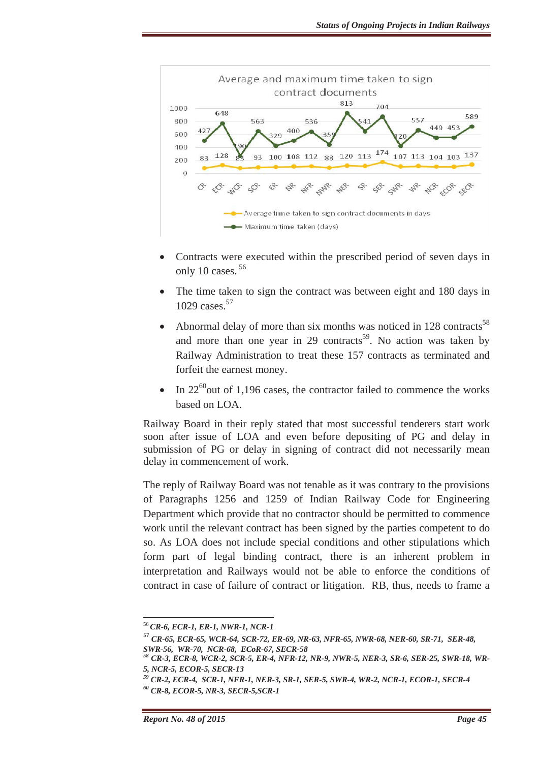

- Contracts were executed within the prescribed period of seven days in only 10 cases.<sup>56</sup>
- The time taken to sign the contract was between eight and 180 days in 1029 cases.<sup>57</sup>
- Abnormal delay of more than six months was noticed in 128 contracts<sup>58</sup> and more than one year in 29 contracts<sup>59</sup>. No action was taken by Railway Administration to treat these 157 contracts as terminated and forfeit the earnest money.
- In  $22^{60}$  out of 1,196 cases, the contractor failed to commence the works based on LOA.

Railway Board in their reply stated that most successful tenderers start work soon after issue of LOA and even before depositing of PG and delay in submission of PG or delay in signing of contract did not necessarily mean delay in commencement of work.

The reply of Railway Board was not tenable as it was contrary to the provisions of Paragraphs 1256 and 1259 of Indian Railway Code for Engineering Department which provide that no contractor should be permitted to commence work until the relevant contract has been signed by the parties competent to do so. As LOA does not include special conditions and other stipulations which form part of legal binding contract, there is an inherent problem in interpretation and Railways would not be able to enforce the conditions of contract in case of failure of contract or litigation. RB, thus, needs to frame a

<sup>56</sup>*CR-6, ECR-1, ER-1, NWR-1, NCR-1* 

<sup>57</sup> *CR-65, ECR-65, WCR-64, SCR-72, ER-69, NR-63, NFR-65, NWR-68, NER-60, SR-71, SER-48, SWR-56, WR-70, NCR-68, ECoR-67, SECR-58*

*<sup>58</sup> CR-3, ECR-8, WCR-2, SCR-5, ER-4, NFR-12, NR-9, NWR-5, NER-3, SR-6, SER-25, SWR-18, WR-5, NCR-5, ECOR-5, SECR-13* 

*<sup>59</sup> CR-2, ECR-4, SCR-1, NFR-1, NER-3, SR-1, SER-5, SWR-4, WR-2, NCR-1, ECOR-1, SECR-4* 

*<sup>60</sup> CR-8, ECOR-5, NR-3, SECR-5,SCR-1*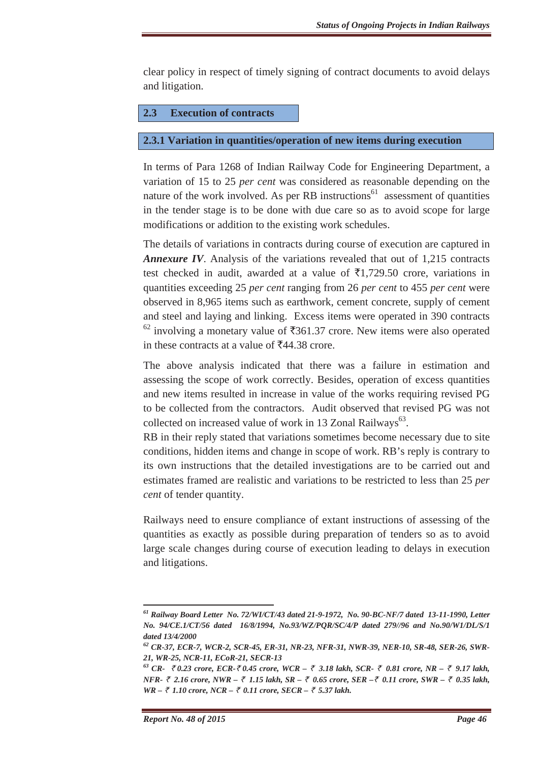clear policy in respect of timely signing of contract documents to avoid delays and litigation.

### **2.3 Execution of contracts**

### **2.3.1 Variation in quantities/operation of new items during execution**

In terms of Para 1268 of Indian Railway Code for Engineering Department, a variation of 15 to 25 *per cent* was considered as reasonable depending on the nature of the work involved. As per RB instructions<sup>61</sup> assessment of quantities in the tender stage is to be done with due care so as to avoid scope for large modifications or addition to the existing work schedules.

The details of variations in contracts during course of execution are captured in *Annexure IV*. Analysis of the variations revealed that out of 1,215 contracts test checked in audit, awarded at a value of  $\bar{\tau}1,729.50$  crore, variations in quantities exceeding 25 *per cent* ranging from 26 *per cent* to 455 *per cent* were observed in 8,965 items such as earthwork, cement concrete, supply of cement and steel and laying and linking. Excess items were operated in 390 contracts  $62$  involving a monetary value of  $\overline{361.37}$  crore. New items were also operated in these contracts at a value of  $\overline{5}44.38$  crore.

The above analysis indicated that there was a failure in estimation and assessing the scope of work correctly. Besides, operation of excess quantities and new items resulted in increase in value of the works requiring revised PG to be collected from the contractors. Audit observed that revised PG was not collected on increased value of work in 13 Zonal Railways<sup>63</sup>.

RB in their reply stated that variations sometimes become necessary due to site conditions, hidden items and change in scope of work. RB's reply is contrary to its own instructions that the detailed investigations are to be carried out and estimates framed are realistic and variations to be restricted to less than 25 *per cent* of tender quantity.

Railways need to ensure compliance of extant instructions of assessing of the quantities as exactly as possible during preparation of tenders so as to avoid large scale changes during course of execution leading to delays in execution and litigations.

<u> Alexandria de la contrada de la contrada de la contrada de la contrada de la contrada de la contrada de la c</u>

*<sup>61</sup> Railway Board Letter No. 72/WI/CT/43 dated 21-9-1972, No. 90-BC-NF/7 dated 13-11-1990, Letter No. 94/CE.1/CT/56 dated 16/8/1994, No.93/WZ/PQR/SC/4/P dated 279//96 and No.90/W1/DL/S/1 dated 13/4/2000* 

*<sup>62</sup> CR-37, ECR-7, WCR-2, SCR-45, ER-31, NR-23, NFR-31, NWR-39, NER-10, SR-48, SER-26, SWR-21, WR-25, NCR-11, ECoR-21, SECR-13* 

*<sup>63</sup> CR-* ` *0.23 crore, ECR-*` *0.45 crore, WCR –* ` *3.18 lakh, SCR-* ` *0.81 crore, NR –* ` *9.17 lakh, NFR-* ` *2.16 crore, NWR –* ` *1.15 lakh, SR –* ` *0.65 crore, SER –*` *0.11 crore, SWR –* ` *0.35 lakh, WR – ₹ 1.10 crore, NCR – ₹ 0.11 crore, SECR – ₹ 5.37 lakh.*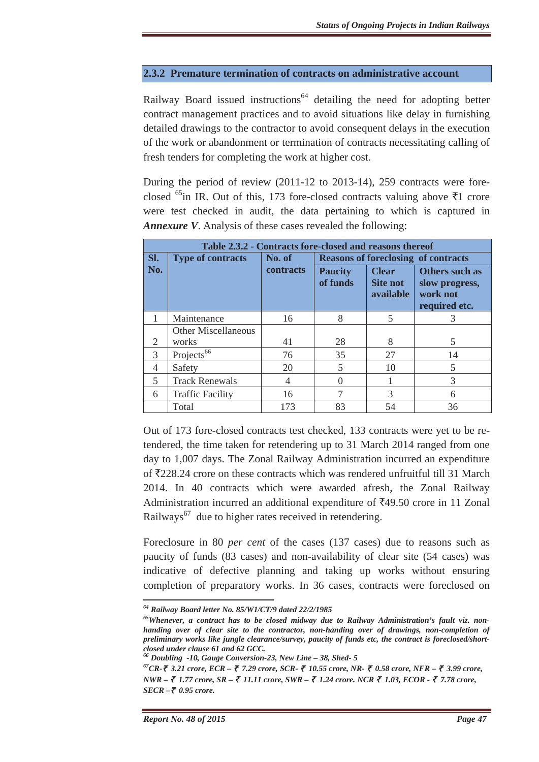# **2.3.2 Premature termination of contracts on administrative account**

Railway Board issued instructions<sup>64</sup> detailing the need for adopting better contract management practices and to avoid situations like delay in furnishing detailed drawings to the contractor to avoid consequent delays in the execution of the work or abandonment or termination of contracts necessitating calling of fresh tenders for completing the work at higher cost.

During the period of review (2011-12 to 2013-14), 259 contracts were foreclosed <sup>65</sup>in IR. Out of this, 173 fore-closed contracts valuing above  $\bar{\tau}$ 1 crore were test checked in audit, the data pertaining to which is captured in *Annexure V*. Analysis of these cases revealed the following:

| Table 2.3.2 - Contracts fore-closed and reasons thereof |                            |           |                                            |                                              |                                                               |
|---------------------------------------------------------|----------------------------|-----------|--------------------------------------------|----------------------------------------------|---------------------------------------------------------------|
| Sl.                                                     | <b>Type of contracts</b>   | No. of    | <b>Reasons of foreclosing of contracts</b> |                                              |                                                               |
| No.                                                     |                            | contracts | <b>Paucity</b><br>of funds                 | <b>Clear</b><br><b>Site not</b><br>available | Others such as<br>slow progress,<br>work not<br>required etc. |
|                                                         | Maintenance                | 16        | 8                                          | $\overline{5}$                               | 3                                                             |
|                                                         | <b>Other Miscellaneous</b> |           |                                            |                                              |                                                               |
| 2                                                       | works                      | 41        | 28                                         | 8                                            | 5                                                             |
| 3                                                       | Projects <sup>66</sup>     | 76        | 35                                         | 27                                           | 14                                                            |
| 4                                                       | Safety                     | 20        | 5                                          | 10                                           | 5                                                             |
| $\overline{5}$                                          | <b>Track Renewals</b>      | 4         | 0                                          |                                              | 3                                                             |
| 6                                                       | <b>Traffic Facility</b>    | 16        | 7                                          | $\mathcal{R}$                                | 6                                                             |
|                                                         | Total                      | 173       | 83                                         | 54                                           | 36                                                            |

Out of 173 fore-closed contracts test checked, 133 contracts were yet to be retendered, the time taken for retendering up to 31 March 2014 ranged from one day to 1,007 days. The Zonal Railway Administration incurred an expenditure of `228.24 crore on these contracts which was rendered unfruitful till 31 March 2014. In 40 contracts which were awarded afresh, the Zonal Railway Administration incurred an additional expenditure of  $\overline{5}49.50$  crore in 11 Zonal Railways<sup>67</sup> due to higher rates received in retendering.

Foreclosure in 80 *per cent* of the cases (137 cases) due to reasons such as paucity of funds (83 cases) and non-availability of clear site (54 cases) was indicative of defective planning and taking up works without ensuring completion of preparatory works. In 36 cases, contracts were foreclosed on

<u> Alexandria de la contrada de la contrada de la contrada de la contrada de la contrada de la contrada de la c</u>

*<sup>64</sup> Railway Board letter No. 85/W1/CT/9 dated 22/2/1985* 

*<sup>65</sup>Whenever, a contract has to be closed midway due to Railway Administration's fault viz. nonhanding over of clear site to the contractor, non-handing over of drawings, non-completion of preliminary works like jungle clearance/survey, paucity of funds etc, the contract is foreclosed/shortclosed under clause 61 and 62 GCC.* 

*<sup>66</sup> Doubling -10, Gauge Conversion-23, New Line – 38, Shed- 5* 

*<sup>67</sup>CR-*` *3.21 crore, ECR –* ` *7.29 crore, SCR-* ` *10.55 crore, NR-* ` *0.58 crore, NFR –* ` *3.99 crore, NWR – ₹ 1.77 crore, SR – ₹ 11.11 crore, SWR – ₹ 1.24 crore. NCR ₹ 1.03, ECOR - ₹ 7.78 crore, SECR –₹ 0.95 crore.*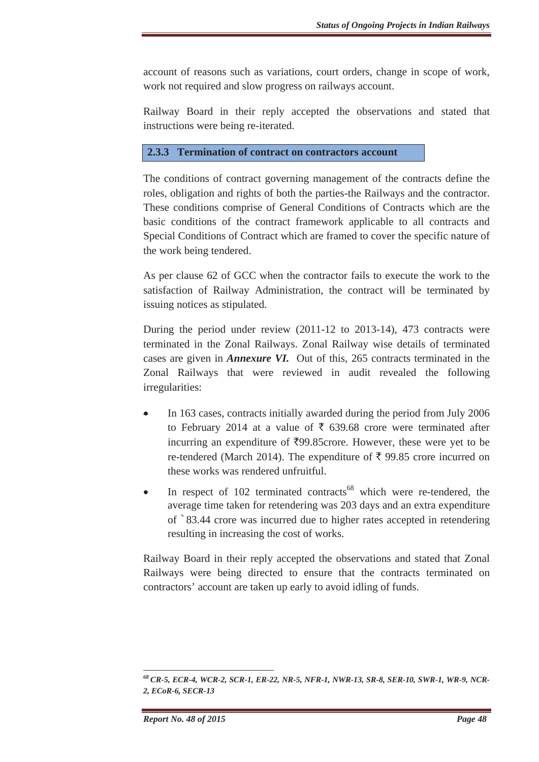account of reasons such as variations, court orders, change in scope of work, work not required and slow progress on railways account.

Railway Board in their reply accepted the observations and stated that instructions were being re-iterated.

## **2.3.3 Termination of contract on contractors account**

The conditions of contract governing management of the contracts define the roles, obligation and rights of both the parties-the Railways and the contractor. These conditions comprise of General Conditions of Contracts which are the basic conditions of the contract framework applicable to all contracts and Special Conditions of Contract which are framed to cover the specific nature of the work being tendered.

As per clause 62 of GCC when the contractor fails to execute the work to the satisfaction of Railway Administration, the contract will be terminated by issuing notices as stipulated.

During the period under review (2011-12 to 2013-14), 473 contracts were terminated in the Zonal Railways. Zonal Railway wise details of terminated cases are given in *Annexure VI.* Out of this, 265 contracts terminated in the Zonal Railways that were reviewed in audit revealed the following irregularities:

- $\bullet$  In 163 cases, contracts initially awarded during the period from July 2006 to February 2014 at a value of  $\bar{\tau}$  639.68 crore were terminated after incurring an expenditure of  $\overline{z}99.85$ crore. However, these were yet to be re-tendered (March 2014). The expenditure of  $\bar{\tau}$  99.85 crore incurred on these works was rendered unfruitful.
- In respect of  $102$  terminated contracts<sup>68</sup> which were re-tendered, the average time taken for retendering was 203 days and an extra expenditure of `83.44 crore was incurred due to higher rates accepted in retendering resulting in increasing the cost of works.

Railway Board in their reply accepted the observations and stated that Zonal Railways were being directed to ensure that the contracts terminated on contractors' account are taken up early to avoid idling of funds.

<sup>&</sup>lt;u> Alexandria de la contrada de la contrada de la contrada de la contrada de la contrada de la contrada de la c</u> *<sup>68</sup> CR-5, ECR-4, WCR-2, SCR-1, ER-22, NR-5, NFR-1, NWR-13, SR-8, SER-10, SWR-1, WR-9, NCR-2, ECoR-6, SECR-13*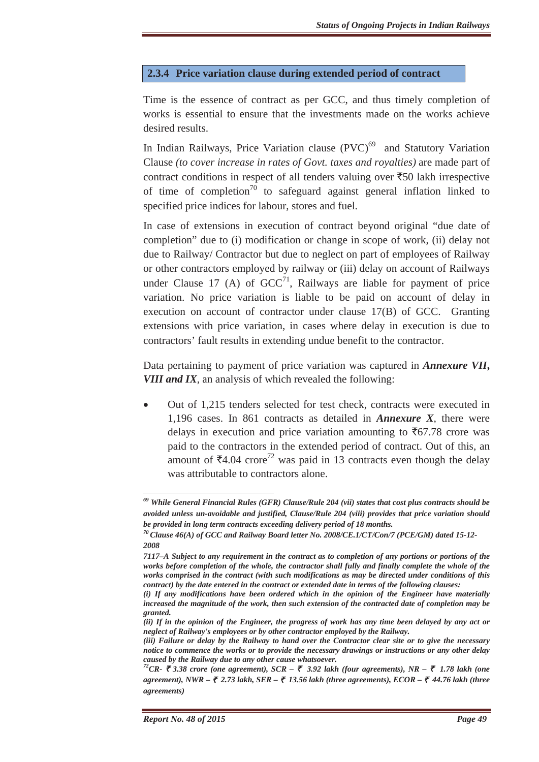### **2.3.4 Price variation clause during extended period of contract**

Time is the essence of contract as per GCC, and thus timely completion of works is essential to ensure that the investments made on the works achieve desired results.

In Indian Railways, Price Variation clause  $(PVC)^{69}$  and Statutory Variation Clause *(to cover increase in rates of Govt. taxes and royalties)* are made part of contract conditions in respect of all tenders valuing over  $\overline{550}$  lakh irrespective of time of completion<sup>70</sup> to safeguard against general inflation linked to specified price indices for labour, stores and fuel.

In case of extensions in execution of contract beyond original "due date of completion" due to (i) modification or change in scope of work, (ii) delay not due to Railway/ Contractor but due to neglect on part of employees of Railway or other contractors employed by railway or (iii) delay on account of Railways under Clause 17 (A) of  $GCC^{71}$ . Railways are liable for payment of price variation. No price variation is liable to be paid on account of delay in execution on account of contractor under clause 17(B) of GCC. Granting extensions with price variation, in cases where delay in execution is due to contractors' fault results in extending undue benefit to the contractor.

Data pertaining to payment of price variation was captured in *Annexure VII***,** *VIII and IX*, an analysis of which revealed the following:

Out of 1,215 tenders selected for test check, contracts were executed in 1,196 cases. In 861 contracts as detailed in *Annexure X*, there were delays in execution and price variation amounting to  $\bar{\tau}$ 67.78 crore was paid to the contractors in the extended period of contract. Out of this, an amount of  $\bar{z}4.04$  crore<sup>72</sup> was paid in 13 contracts even though the delay was attributable to contractors alone.

*<sup>69</sup> While General Financial Rules (GFR) Clause/Rule 204 (vii) states that cost plus contracts should be avoided unless un-avoidable and justified, Clause/Rule 204 (viii) provides that price variation should be provided in long term contracts exceeding delivery period of 18 months.*<br><sup>70</sup> Clause 46(A) of GCC and Railway Board letter No. 2008/CE.1/CT/Con/7 (PCE/GM) dated 15-12-

*<sup>2008</sup>*

*<sup>7117–</sup>A Subject to any requirement in the contract as to completion of any portions or portions of the works before completion of the whole, the contractor shall fully and finally complete the whole of the works comprised in the contract (with such modifications as may be directed under conditions of this contract) by the date entered in the contract or extended date in terms of the following clauses:* 

*<sup>(</sup>i) If any modifications have been ordered which in the opinion of the Engineer have materially increased the magnitude of the work, then such extension of the contracted date of completion may be granted.*

*<sup>(</sup>ii) If in the opinion of the Engineer, the progress of work has any time been delayed by any act or neglect of Railway's employees or by other contractor employed by the Railway.* 

*<sup>(</sup>iii) Failure or delay by the Railway to hand over the Contractor clear site or to give the necessary notice to commence the works or to provide the necessary drawings or instructions or any other delay caused by the Railway due to any other cause whatsoever. 72CR-* ` *3.38 crore (one agreement), SCR –* ` *3.92 lakh (four agreements), NR –* ` *1.78 lakh (one* 

*agreement), NWR –* ` *2.73 lakh, SER –* ` *13.56 lakh (three agreements), ECOR –* ` *44.76 lakh (three agreements)*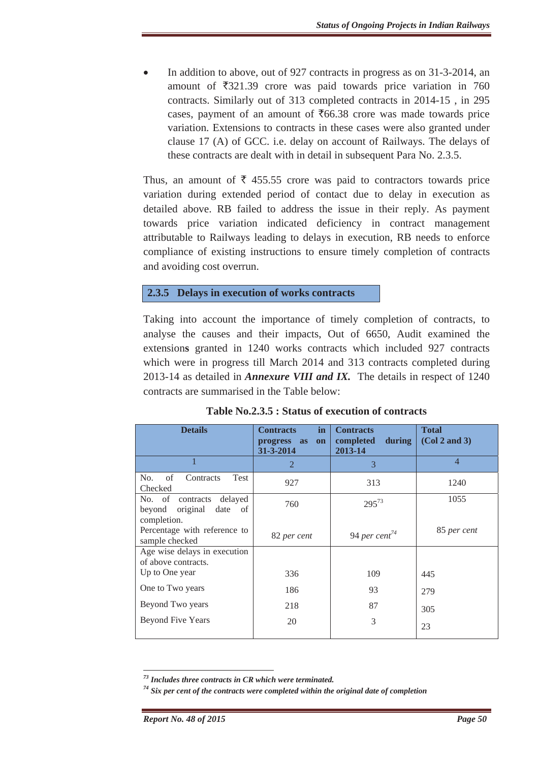In addition to above, out of 927 contracts in progress as on 31-3-2014, an amount of  $\overline{5}321.39$  crore was paid towards price variation in 760 contracts. Similarly out of 313 completed contracts in 2014-15 , in 295 cases, payment of an amount of  $\overline{66.38}$  crore was made towards price variation. Extensions to contracts in these cases were also granted under clause 17 (A) of GCC. i.e. delay on account of Railways. The delays of these contracts are dealt with in detail in subsequent Para No. 2.3.5.

Thus, an amount of  $\overline{\xi}$  455.55 crore was paid to contractors towards price variation during extended period of contact due to delay in execution as detailed above. RB failed to address the issue in their reply. As payment towards price variation indicated deficiency in contract management attributable to Railways leading to delays in execution, RB needs to enforce compliance of existing instructions to ensure timely completion of contracts and avoiding cost overrun.

# **2.3.5 Delays in execution of works contracts**

Taking into account the importance of timely completion of contracts, to analyse the causes and their impacts, Out of 6650, Audit examined the extension**s** granted in 1240 works contracts which included 927 contracts which were in progress till March 2014 and 313 contracts completed during 2013-14 as detailed in *Annexure VIII and IX.* The details in respect of 1240 contracts are summarised in the Table below:

| <b>Details</b>                                                | <b>Contracts</b><br>in<br>progress as<br>on<br>31-3-2014 | <b>Contracts</b><br>during<br>completed<br>2013-14 | <b>Total</b><br>(Col 2 and 3) |
|---------------------------------------------------------------|----------------------------------------------------------|----------------------------------------------------|-------------------------------|
|                                                               | $\overline{2}$                                           | 3                                                  | $\overline{4}$                |
| of<br>No.<br>Contracts<br><b>Test</b><br>Checked              | 927                                                      | 313                                                | 1240                          |
| No. of contracts<br>delayed<br>beyond original<br>date of     | 760                                                      | $295^{73}$                                         | 1055                          |
| completion.<br>Percentage with reference to<br>sample checked | 82 per cent                                              | 94 per cent <sup>74</sup>                          | 85 per cent                   |
| Age wise delays in execution<br>of above contracts.           |                                                          |                                                    |                               |
| Up to One year                                                | 336                                                      | 109                                                | 445                           |
| One to Two years                                              | 186                                                      | 93                                                 | 279                           |
| Beyond Two years                                              | 218                                                      | 87                                                 | 305                           |
| <b>Beyond Five Years</b>                                      | 20                                                       | 3                                                  | 23                            |

**Table No.2.3.5 : Status of execution of contracts** 

<sup>&</sup>lt;u> Alexandria de la contrada de la contrada de la contrada de la contrada de la contrada de la contrada de la c</u> *73 Includes three contracts in CR which were terminated.* 

*<sup>74</sup> Six per cent of the contracts were completed within the original date of completion*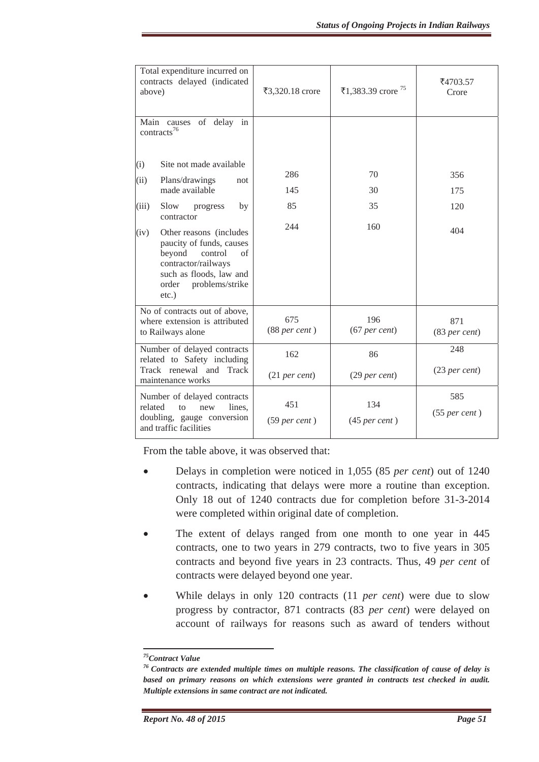| Total expenditure incurred on<br>contracts delayed (indicated<br>above) |                                                                                                                                                                          | ₹3,320.18 crore        | ₹1,383.39 crore $^{75}$  | ₹4703.57<br>Crore        |
|-------------------------------------------------------------------------|--------------------------------------------------------------------------------------------------------------------------------------------------------------------------|------------------------|--------------------------|--------------------------|
|                                                                         | Main causes of delay in<br>contracts <sup>76</sup>                                                                                                                       |                        |                          |                          |
| (i)                                                                     | Site not made available                                                                                                                                                  |                        |                          |                          |
| (ii)                                                                    | Plans/drawings<br>not                                                                                                                                                    | 286                    | 70                       | 356                      |
|                                                                         | made available                                                                                                                                                           | 145                    | 30                       | 175                      |
| (iii)                                                                   | Slow<br>by<br>progress<br>contractor                                                                                                                                     | 85                     | 35                       | 120                      |
| (iv)                                                                    | Other reasons (includes<br>paucity of funds, causes<br>beyond<br>control<br>of<br>contractor/railways<br>such as floods, law and<br>problems/strike<br>order<br>$etc.$ ) | 244                    | 160                      | 404                      |
|                                                                         | No of contracts out of above,<br>where extension is attributed<br>to Railways alone                                                                                      | 675<br>$(88$ per cent) | 196<br>$(67$ per cent)   | 871<br>$(83$ per cent)   |
| Number of delayed contracts<br>related to Safety including              |                                                                                                                                                                          | 162                    | 86                       | 248                      |
|                                                                         | Track renewal and Track<br>maintenance works                                                                                                                             | $(21$ per cent)        | (29 <sub>per</sub> cent) | (23 <sub>per</sub> cent) |
| related                                                                 | Number of delayed contracts<br>new<br>lines,<br>to<br>doubling, gauge conversion<br>and traffic facilities                                                               | 451<br>$(59$ per cent) | 134<br>$(45$ per cent)   | 585<br>$(55$ per cent)   |

From the table above, it was observed that:

- x Delays in completion were noticed in 1,055 (85 *per cent*) out of 1240 contracts, indicating that delays were more a routine than exception. Only 18 out of 1240 contracts due for completion before 31-3-2014 were completed within original date of completion.
- The extent of delays ranged from one month to one year in 445 contracts, one to two years in 279 contracts, two to five years in 305 contracts and beyond five years in 23 contracts. Thus, 49 *per cent* of contracts were delayed beyond one year.
- x While delays in only 120 contracts (11 *per cent*) were due to slow progress by contractor, 871 contracts (83 *per cent*) were delayed on account of railways for reasons such as award of tenders without

*<sup>75</sup>Contract Value*

*<sup>76</sup> Contracts are extended multiple times on multiple reasons. The classification of cause of delay is based on primary reasons on which extensions were granted in contracts test checked in audit. Multiple extensions in same contract are not indicated.*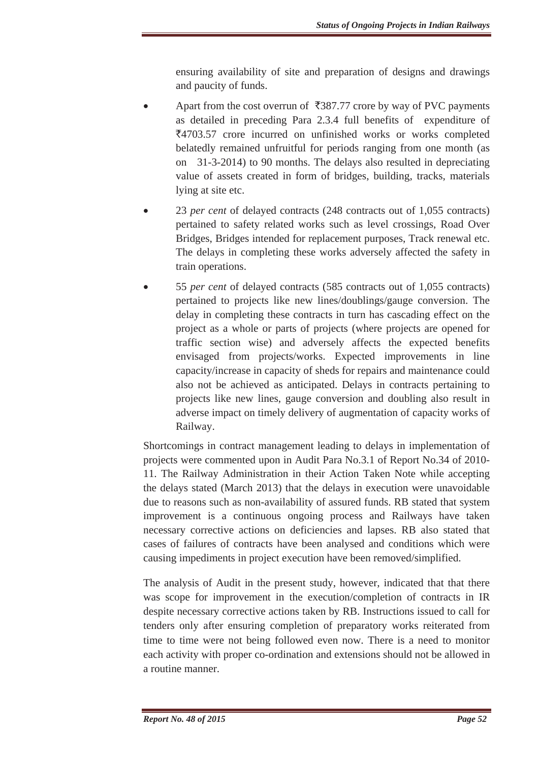ensuring availability of site and preparation of designs and drawings and paucity of funds.

- Apart from the cost overrun of  $\overline{387.77}$  crore by way of PVC payments as detailed in preceding Para 2.3.4 full benefits of expenditure of `4703.57 crore incurred on unfinished works or works completed belatedly remained unfruitful for periods ranging from one month (as on 31-3-2014) to 90 months. The delays also resulted in depreciating value of assets created in form of bridges, building, tracks, materials lying at site etc.
- 23 *per cent* of delayed contracts (248 contracts out of 1,055 contracts) pertained to safety related works such as level crossings, Road Over Bridges, Bridges intended for replacement purposes, Track renewal etc. The delays in completing these works adversely affected the safety in train operations.
- x 55 *per cent* of delayed contracts (585 contracts out of 1,055 contracts) pertained to projects like new lines/doublings/gauge conversion. The delay in completing these contracts in turn has cascading effect on the project as a whole or parts of projects (where projects are opened for traffic section wise) and adversely affects the expected benefits envisaged from projects/works. Expected improvements in line capacity/increase in capacity of sheds for repairs and maintenance could also not be achieved as anticipated. Delays in contracts pertaining to projects like new lines, gauge conversion and doubling also result in adverse impact on timely delivery of augmentation of capacity works of Railway.

Shortcomings in contract management leading to delays in implementation of projects were commented upon in Audit Para No.3.1 of Report No.34 of 2010- 11. The Railway Administration in their Action Taken Note while accepting the delays stated (March 2013) that the delays in execution were unavoidable due to reasons such as non-availability of assured funds. RB stated that system improvement is a continuous ongoing process and Railways have taken necessary corrective actions on deficiencies and lapses. RB also stated that cases of failures of contracts have been analysed and conditions which were causing impediments in project execution have been removed/simplified.

The analysis of Audit in the present study, however, indicated that that there was scope for improvement in the execution/completion of contracts in IR despite necessary corrective actions taken by RB. Instructions issued to call for tenders only after ensuring completion of preparatory works reiterated from time to time were not being followed even now. There is a need to monitor each activity with proper co-ordination and extensions should not be allowed in a routine manner.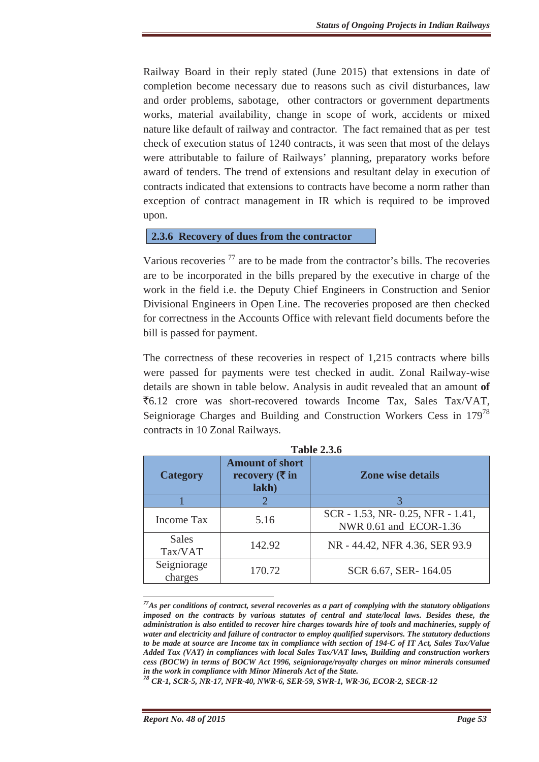Railway Board in their reply stated (June 2015) that extensions in date of completion become necessary due to reasons such as civil disturbances, law and order problems, sabotage, other contractors or government departments works, material availability, change in scope of work, accidents or mixed nature like default of railway and contractor. The fact remained that as per test check of execution status of 1240 contracts, it was seen that most of the delays were attributable to failure of Railways' planning, preparatory works before award of tenders. The trend of extensions and resultant delay in execution of contracts indicated that extensions to contracts have become a norm rather than exception of contract management in IR which is required to be improved upon.

#### **2.3.6 Recovery of dues from the contractor**

Various recoveries  $^{77}$  are to be made from the contractor's bills. The recoveries are to be incorporated in the bills prepared by the executive in charge of the work in the field i.e. the Deputy Chief Engineers in Construction and Senior Divisional Engineers in Open Line. The recoveries proposed are then checked for correctness in the Accounts Office with relevant field documents before the bill is passed for payment.

The correctness of these recoveries in respect of 1,215 contracts where bills were passed for payments were test checked in audit. Zonal Railway-wise details are shown in table below. Analysis in audit revealed that an amount **of**  $\overline{56.12}$  crore was short-recovered towards Income Tax, Sales Tax/VAT, Seigniorage Charges and Building and Construction Workers Cess in 179<sup>78</sup> contracts in 10 Zonal Railways.

| <b>Category</b>         | <b>Amount of short</b><br>recovery $(\overline{\tau}$ in<br>lakh) | <b>Zone wise details</b>                                     |
|-------------------------|-------------------------------------------------------------------|--------------------------------------------------------------|
|                         |                                                                   |                                                              |
| Income Tax              | 5.16                                                              | SCR - 1.53, NR - 0.25, NFR - 1.41,<br>NWR 0.61 and ECOR-1.36 |
| <b>Sales</b><br>Tax/VAT | 142.92                                                            | NR - 44.42, NFR 4.36, SER 93.9                               |
| Seigniorage<br>charges  | 170.72                                                            | SCR 6.67, SER-164.05                                         |

**Table 2.3.6** 

*<sup>77</sup>As per conditions of contract, several recoveries as a part of complying with the statutory obligations imposed on the contracts by various statutes of central and state/local laws. Besides these, the administration is also entitled to recover hire charges towards hire of tools and machineries, supply of water and electricity and failure of contractor to employ qualified supervisors. The statutory deductions to be made at source are Income tax in compliance with section of 194-C of IT Act, Sales Tax/Value Added Tax (VAT) in compliances with local Sales Tax/VAT laws, Building and construction workers cess (BOCW) in terms of BOCW Act 1996, seigniorage/royalty charges on minor minerals consumed in the work in compliance with Minor Minerals Act of the State.* 

*<sup>78</sup> CR-1, SCR-5, NR-17, NFR-40, NWR-6, SER-59, SWR-1, WR-36, ECOR-2, SECR-12*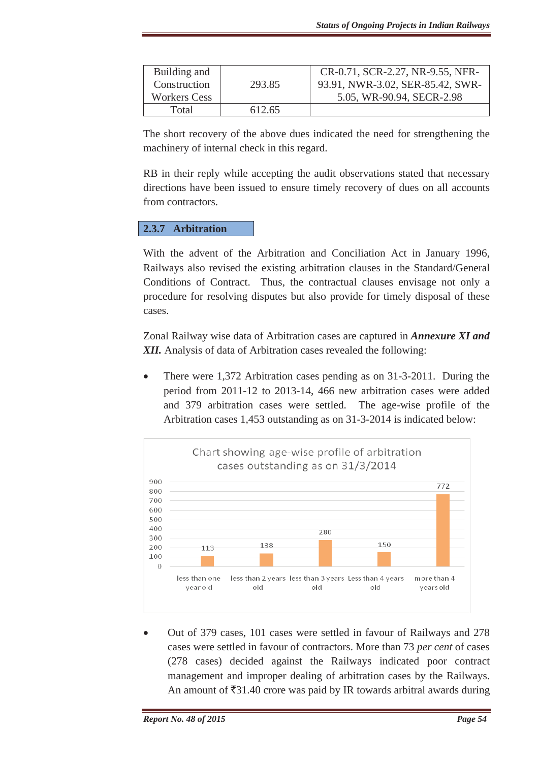| Building and        |        | CR-0.71, SCR-2.27, NR-9.55, NFR- |
|---------------------|--------|----------------------------------|
| Construction        | 293.85 | 93.91, NWR-3.02, SER-85.42, SWR- |
| <b>Workers Cess</b> |        | 5.05, WR-90.94, SECR-2.98        |
| Total               | 612.65 |                                  |

The short recovery of the above dues indicated the need for strengthening the machinery of internal check in this regard.

RB in their reply while accepting the audit observations stated that necessary directions have been issued to ensure timely recovery of dues on all accounts from contractors.

# **2.3.7 Arbitration**

With the advent of the Arbitration and Conciliation Act in January 1996, Railways also revised the existing arbitration clauses in the Standard/General Conditions of Contract. Thus, the contractual clauses envisage not only a procedure for resolving disputes but also provide for timely disposal of these cases.

Zonal Railway wise data of Arbitration cases are captured in *Annexure XI and XII.* Analysis of data of Arbitration cases revealed the following:

There were 1,372 Arbitration cases pending as on 31-3-2011. During the period from 2011-12 to 2013-14, 466 new arbitration cases were added and 379 arbitration cases were settled. The age-wise profile of the Arbitration cases 1,453 outstanding as on 31-3-2014 is indicated below:



x Out of 379 cases, 101 cases were settled in favour of Railways and 278 cases were settled in favour of contractors. More than 73 *per cent* of cases (278 cases) decided against the Railways indicated poor contract management and improper dealing of arbitration cases by the Railways. An amount of  $\bar{\xi}31.40$  crore was paid by IR towards arbitral awards during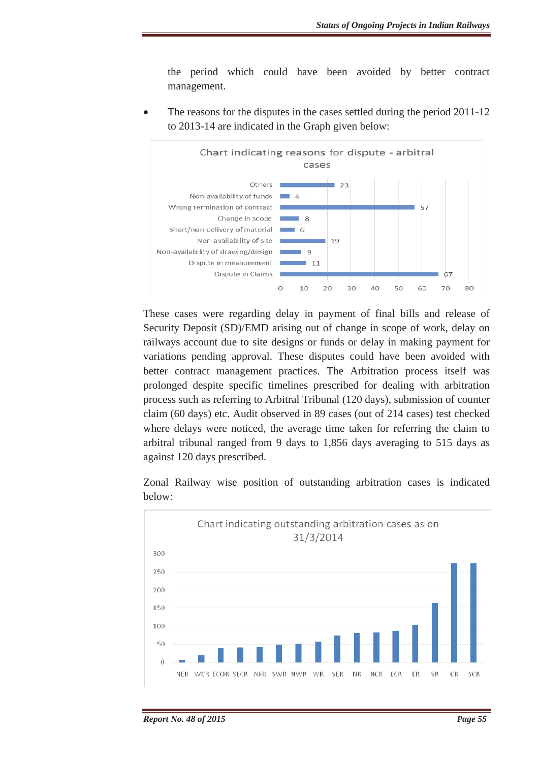the period which could have been avoided by better contract management.

The reasons for the disputes in the cases settled during the period 2011-12 to 2013-14 are indicated in the Graph given below:



These cases were regarding delay in payment of final bills and release of Security Deposit (SD)/EMD arising out of change in scope of work, delay on railways account due to site designs or funds or delay in making payment for variations pending approval. These disputes could have been avoided with better contract management practices. The Arbitration process itself was prolonged despite specific timelines prescribed for dealing with arbitration process such as referring to Arbitral Tribunal (120 days), submission of counter claim (60 days) etc. Audit observed in 89 cases (out of 214 cases) test checked where delays were noticed, the average time taken for referring the claim to arbitral tribunal ranged from 9 days to 1,856 days averaging to 515 days as against 120 days prescribed.

Zonal Railway wise position of outstanding arbitration cases is indicated below:

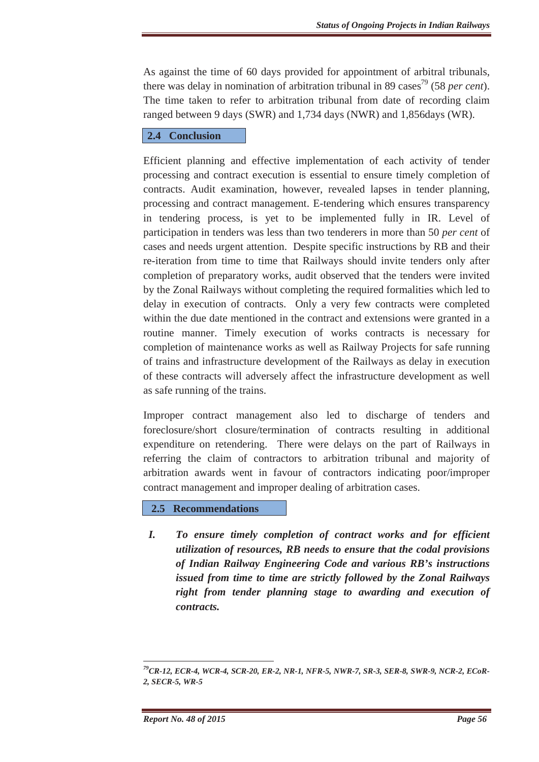As against the time of 60 days provided for appointment of arbitral tribunals, there was delay in nomination of arbitration tribunal in 89 cases<sup>79</sup> (58 *per cent*). The time taken to refer to arbitration tribunal from date of recording claim ranged between 9 days (SWR) and 1,734 days (NWR) and 1,856days (WR).

### **2.4 Conclusion**

Efficient planning and effective implementation of each activity of tender processing and contract execution is essential to ensure timely completion of contracts. Audit examination, however, revealed lapses in tender planning, processing and contract management. E-tendering which ensures transparency in tendering process, is yet to be implemented fully in IR. Level of participation in tenders was less than two tenderers in more than 50 *per cent* of cases and needs urgent attention. Despite specific instructions by RB and their re-iteration from time to time that Railways should invite tenders only after completion of preparatory works, audit observed that the tenders were invited by the Zonal Railways without completing the required formalities which led to delay in execution of contracts. Only a very few contracts were completed within the due date mentioned in the contract and extensions were granted in a routine manner. Timely execution of works contracts is necessary for completion of maintenance works as well as Railway Projects for safe running of trains and infrastructure development of the Railways as delay in execution of these contracts will adversely affect the infrastructure development as well as safe running of the trains.

Improper contract management also led to discharge of tenders and foreclosure/short closure/termination of contracts resulting in additional expenditure on retendering. There were delays on the part of Railways in referring the claim of contractors to arbitration tribunal and majority of arbitration awards went in favour of contractors indicating poor/improper contract management and improper dealing of arbitration cases.

### **2.5 Recommendations**

*I. To ensure timely completion of contract works and for efficient utilization of resources, RB needs to ensure that the codal provisions of Indian Railway Engineering Code and various RB's instructions issued from time to time are strictly followed by the Zonal Railways right from tender planning stage to awarding and execution of contracts.* 

*<sup>79</sup>CR-12, ECR-4, WCR-4, SCR-20, ER-2, NR-1, NFR-5, NWR-7, SR-3, SER-8, SWR-9, NCR-2, ECoR-2, SECR-5, WR-5*